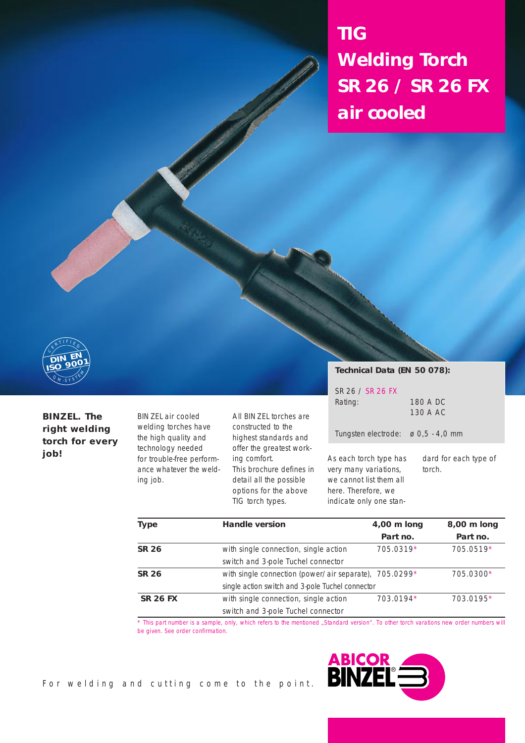**TIG Welding Torch SR 26 / SR 26 FX air cooled**



## **BINZEL. The right welding torch for every job!**

BINZEL air cooled welding torches have the high quality and technology needed for trouble-free performance whatever the welding job.

All BINZEL torches are constructed to the highest standards and offer the greatest working comfort. This brochure defines in detail all the possible options for the above TIG torch types.

**Technical Data (EN 50 078):**

| SR 26 / SR 26 FX |          |
|------------------|----------|
| Rating:          | 180 A DC |
|                  | 130 A AC |
|                  |          |

Tungsten electrode: ø 0,5 - 4,0 mm

As each torch type has very many variations, we cannot list them all here. Therefore, we indicate only one standard for each type of torch.

| <b>Type</b>     | <b>Handle version</b>                                  | 4,00 m long | 8,00 m long |  |
|-----------------|--------------------------------------------------------|-------------|-------------|--|
|                 |                                                        | Part no.    | Part no.    |  |
| <b>SR 26</b>    | with single connection, single action                  | 705.0319*   | 705.0519*   |  |
|                 | switch and 3-pole Tuchel connector                     |             |             |  |
| <b>SR 26</b>    | with single connection (power/air separate), 705.0299* |             | 705.0300*   |  |
|                 | single action switch and 3-pole Tuchel connector       |             |             |  |
| <b>SR 26 FX</b> | with single connection, single action                  | 703.0194*   | 703.0195*   |  |
|                 | switch and 3-pole Tuchel connector                     |             |             |  |

\* This part number is a sample, only, which refers to the mentioned "Standard version". To other torch varations new order numbers will be given. See order confirmation.

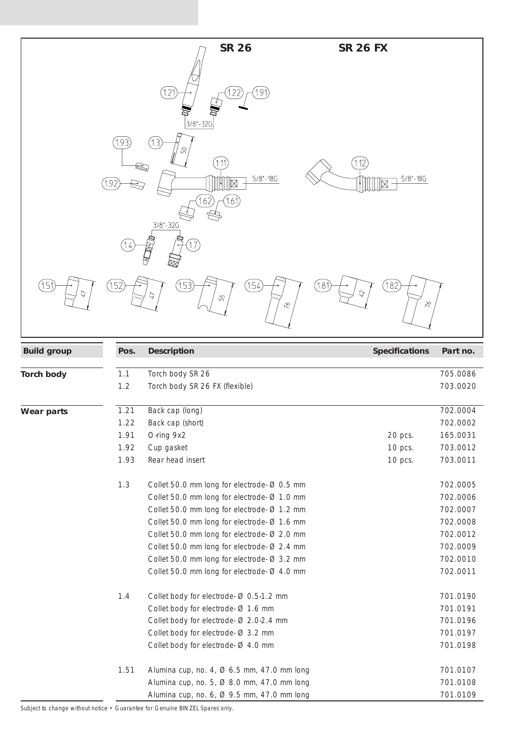|                    |                                                    | <b>SR 26</b>                                                                                                                                                                                                                                                                                                                                                                                                                                                                                                                                                                                  | <b>SR 26 FX</b>               |                                                                                                                                                                                              |
|--------------------|----------------------------------------------------|-----------------------------------------------------------------------------------------------------------------------------------------------------------------------------------------------------------------------------------------------------------------------------------------------------------------------------------------------------------------------------------------------------------------------------------------------------------------------------------------------------------------------------------------------------------------------------------------------|-------------------------------|----------------------------------------------------------------------------------------------------------------------------------------------------------------------------------------------|
|                    | (1.93)                                             | [1.21]<br>1.91<br>$3/8 - 32G$<br>[13]<br>(1.11)<br>$5/8 - 18G$<br>$\boxtimes$<br>1.61<br>$3/8 - 32G$                                                                                                                                                                                                                                                                                                                                                                                                                                                                                          | (1.12)<br>$5/8 - 18G$<br>⊠    |                                                                                                                                                                                              |
| 1.51               | (1.52                                              | 153)<br>(154)<br>$^{'}$ 1.81<br>55<br>$\lesssim$                                                                                                                                                                                                                                                                                                                                                                                                                                                                                                                                              | 1.82<br>$\Im$<br>$\lesssim$   |                                                                                                                                                                                              |
| <b>Build group</b> | Pos.                                               | <b>Description</b>                                                                                                                                                                                                                                                                                                                                                                                                                                                                                                                                                                            | <b>Specifications</b>         | Part no.                                                                                                                                                                                     |
| <b>Torch body</b>  | 1.1<br>1.2                                         | Torch body SR 26<br>Torch body SR 26 FX (flexible)                                                                                                                                                                                                                                                                                                                                                                                                                                                                                                                                            |                               | 705.0086<br>703.0020                                                                                                                                                                         |
| <b>Wear parts</b>  | 1.21<br>1.22<br>1.91<br>1.92<br>1.93<br>1.3<br>1.4 | Back cap (long)<br>Back cap (short)<br>O-ring 9x2<br>Cup gasket<br>Rear head insert<br>Collet 50.0 mm long for electrode Ø 0.5 mm<br>Collet 50.0 mm long for electrode Ø 1.0 mm<br>Collet 50.0 mm long for electrode Ø 1.2 mm<br>Collet 50.0 mm long for electrode Ø 1.6 mm<br>Collet 50.0 mm long for electrode Ø 2.0 mm<br>Collet 50.0 mm long for electrode Ø 2.4 mm<br>Collet 50.0 mm long for electrode Ø 3.2 mm<br>Collet 50.0 mm long for electrode Ø 4.0 mm<br>Collet body for electrode Ø 0.5-1.2 mm<br>Collet body for electrode Ø 1.6 mm<br>Collet body for electrode Ø 2.0-2.4 mm | 20 pcs.<br>10 pcs.<br>10 pcs. | 702.0004<br>702.0002<br>165.0031<br>703.0012<br>703.0011<br>702.0005<br>702.0006<br>702.0007<br>702.0008<br>702.0012<br>702.0009<br>702.0010<br>702.0011<br>701.0190<br>701.0191<br>701.0196 |
|                    | 1.51                                               | Collet body for electrode Ø 3.2 mm<br>Collet body for electrode Ø 4.0 mm<br>Alumina cup, no. 4, Ø 6.5 mm, 47.0 mm long<br>Alumina cup, no. 5, Ø 8.0 mm, 47.0 mm long<br>Alumina cup, no. 6, Ø 9.5 mm, 47.0 mm long                                                                                                                                                                                                                                                                                                                                                                            |                               | 701.0197<br>701.0198<br>701.0107<br>701.0108<br>701.0109                                                                                                                                     |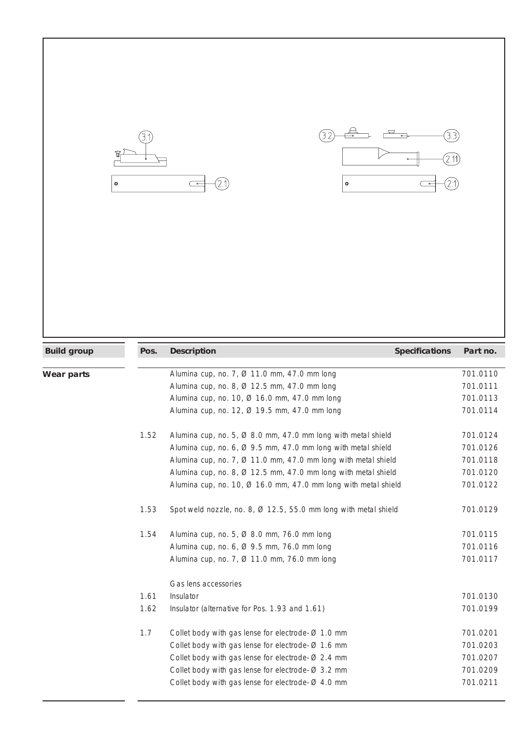



| <b>Build group</b> | Pos. | <b>Description</b>                                                         | <b>Specifications</b> | Part no. |
|--------------------|------|----------------------------------------------------------------------------|-----------------------|----------|
|                    |      |                                                                            |                       |          |
| Wear parts         |      | Alumina cup, no. 7, Ø 11.0 mm, 47.0 mm long                                |                       | 701.0110 |
|                    |      | Alumina cup, no. 8, Ø 12.5 mm, 47.0 mm long                                |                       | 701.0111 |
|                    |      | Alumina cup, no. 10, Ø 16.0 mm, 47.0 mm long                               |                       | 701.0113 |
|                    |      | Alumina cup, no. 12, Ø 19.5 mm, 47.0 mm long                               |                       | 701.0114 |
|                    | 1.52 | Alumina cup, no. 5, $\varnothing$ 8.0 mm, 47.0 mm long with metal shield   |                       | 701.0124 |
|                    |      | Alumina cup, no. 6, $\varnothing$ 9.5 mm, 47.0 mm long with metal shield   |                       | 701.0126 |
|                    |      | Alumina cup, no. 7, $\varnothing$ 11.0 mm, 47.0 mm long with metal shield  |                       | 701.0118 |
|                    |      | Alumina cup, no. 8, Ø 12.5 mm, 47.0 mm long with metal shield              |                       | 701.0120 |
|                    |      | Alumina cup, no. 10, $\varnothing$ 16.0 mm, 47.0 mm long with metal shield |                       | 701.0122 |
|                    | 1.53 | Spot weld nozzle, no. 8, Ø 12.5, 55.0 mm long with metal shield            |                       | 701.0129 |
|                    | 1.54 | Alumina cup, no. 5, $\varnothing$ 8.0 mm, 76.0 mm long                     |                       | 701.0115 |
|                    |      | Alumina cup, no. 6, Ø 9.5 mm, 76.0 mm long                                 |                       | 701.0116 |
|                    |      | Alumina cup, no. 7, Ø 11.0 mm, 76.0 mm long                                |                       | 701.0117 |
|                    |      | Gas lens accessories                                                       |                       |          |
|                    | 1.61 | Insulator                                                                  |                       | 701.0130 |
|                    | 1.62 | Insulator (alternative for Pos. 1.93 and 1.61)                             |                       | 701.0199 |
|                    | 1.7  | Collet body with gas lense for electrode $\varnothing$ 1.0 mm              |                       | 701.0201 |
|                    |      | Collet body with gas lense for electrode $\varnothing$ 1.6 mm              |                       | 701.0203 |
|                    |      | Collet body with gas lense for electrode $\varnothing$ 2.4 mm              |                       | 701.0207 |
|                    |      | Collet body with gas lense for electrode $\varnothing$ 3.2 mm              |                       | 701.0209 |
|                    |      | Collet body with gas lense for electrode $\varnothing$ 4.0 mm              |                       | 701.0211 |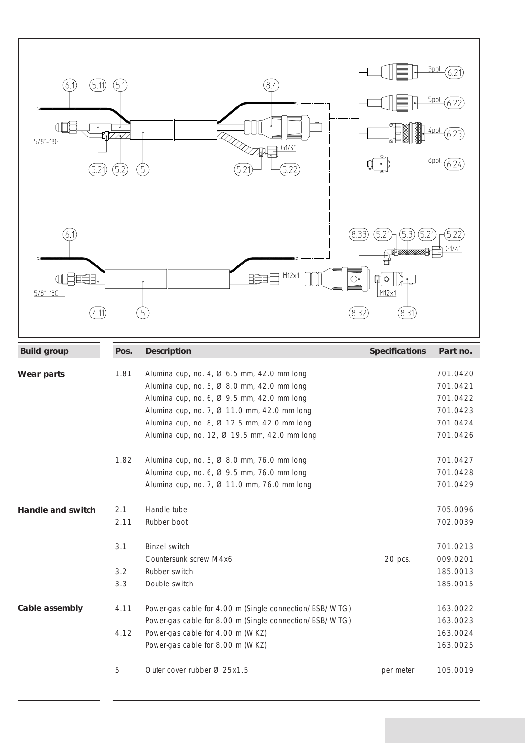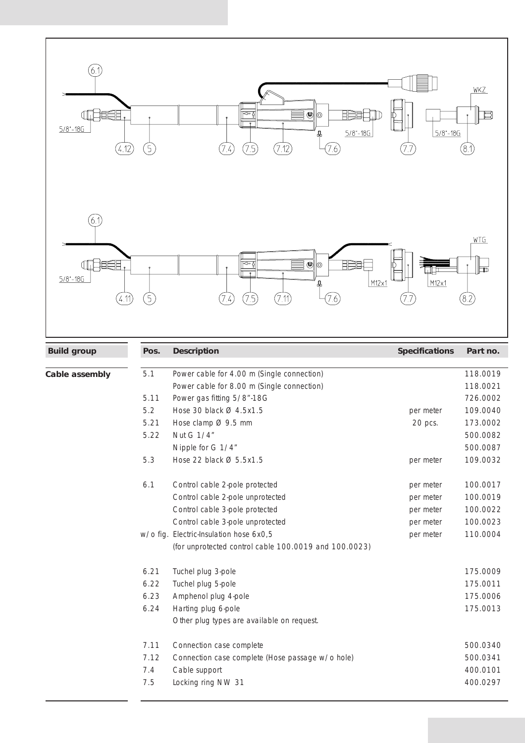